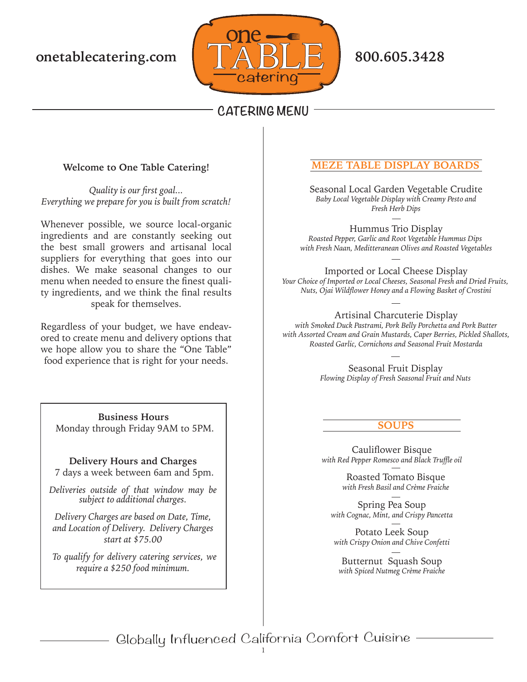

# **Welcome to One Table Catering!**

*Quality is our first goal... Everything we prepare for you is built from scratch!* 

Whenever possible, we source local-organic ingredients and are constantly seeking out the best small growers and artisanal local suppliers for everything that goes into our dishes. We make seasonal changes to our menu when needed to ensure the finest quality ingredients, and we think the final results speak for themselves.

Regardless of your budget, we have endeavored to create menu and delivery options that we hope allow you to share the "One Table" food experience that is right for your needs.

**Business Hours** Monday through Friday 9AM to 5PM.

**Delivery Hours and Charges**

7 days a week between 6am and 5pm.

*Deliveries outside of that window may be subject to additional charges.*

*Delivery Charges are based on Date, Time, and Location of Delivery. Delivery Charges start at \$75.00*

*To qualify for delivery catering services, we require a \$250 food minimum.*

# **E DISPLAY BOARDS**

Seasonal Local Garden Vegetable Crudite *Baby Local Vegetable Display with Creamy Pesto and Fresh Herb Dips*

Hummus Trio Display *Roasted Pepper, Garlic and Root Vegetable Hummus Dips with Fresh Naan, Meditteranean Olives and Roasted Vegetables*

Imported or Local Cheese Display *Your Choice of Imported or Local Cheeses, Seasonal Fresh and Dried Fruits, Nuts, Ojai Wildflower Honey and a Flowing Basket of Crostini*

Artisinal Charcuterie Display *with Smoked Duck Pastrami, Pork Belly Porchetta and Pork Butter with Assorted Cream and Grain Mustards, Caper Berries, Pickled Shallots, Roasted Garlic, Cornichons and Seasonal Fruit Mostarda*

> Seasonal Fruit Display *Flowing Display of Fresh Seasonal Fruit and Nuts*

### **SOUPS**

Cauliflower Bisque *with Red Pepper Romesco and Black Truffle oil*

> Roasted Tomato Bisque *with Fresh Basil and Crème Fraiche*

Spring Pea Soup *with Cognac, Mint, and Crispy Pancetta*

Potato Leek Soup *with Crispy Onion and Chive Confetti*

Butternut Squash Soup *with Spiced Nutmeg Crème Fraiche*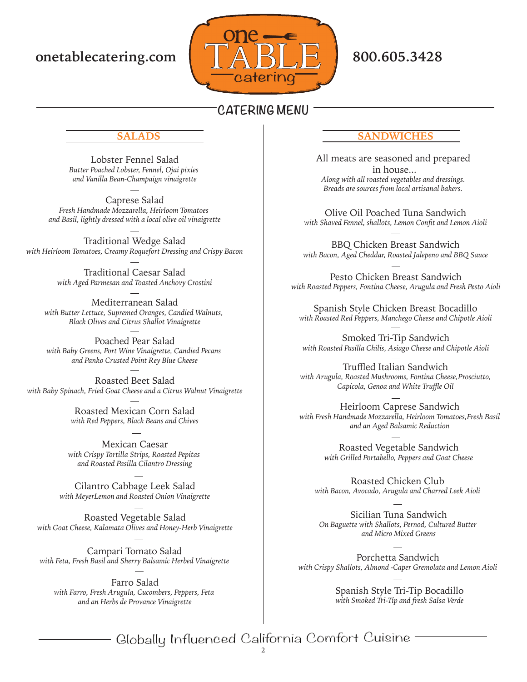

Lobster Fennel Salad *Butter Poached Lobster, Fennel, Ojai pixies and Vanilla Bean-Champaign vinaigrette*

Caprese Salad *Fresh Handmade Mozzarella, Heirloom Tomatoes and Basil, lightly dressed with a local olive oil vinaigrette*

Traditional Wedge Salad *with Heirloom Tomatoes, Creamy Roquefort Dressing and Crispy Bacon*

> Traditional Caesar Salad *with Aged Parmesan and Toasted Anchovy Crostini*

Mediterranean Salad *with Butter Lettuce, Supremed Oranges, Candied Walnuts, Black Olives and Citrus Shallot Vinaigrette*

Poached Pear Salad *with Baby Greens, Port Wine Vinaigrette, Candied Pecans and Panko Crusted Point Rey Blue Cheese*

Roasted Beet Salad *with Baby Spinach, Fried Goat Cheese and a Citrus Walnut Vinaigrette*

> Roasted Mexican Corn Salad *with Red Peppers, Black Beans and Chives*

Mexican Caesar *with Crispy Tortilla Strips, Roasted Pepitas and Roasted Pasilla Cilantro Dressing*

Cilantro Cabbage Leek Salad *with MeyerLemon and Roasted Onion Vinaigrette*

Roasted Vegetable Salad *with Goat Cheese, Kalamata Olives and Honey-Herb Vinaigrette*

Campari Tomato Salad *with Feta, Fresh Basil and Sherry Balsamic Herbed Vinaigrette*

Farro Salad *with Farro, Fresh Arugula, Cucombers, Peppers, Feta and an Herbs de Provance Vinaigrette*

## **SALADS SANDWICHES**

All meats are seasoned and prepared in house... *Along with all roasted vegetables and dressings. Breads are sources from local artisanal bakers.*

Olive Oil Poached Tuna Sandwich *with Shaved Fennel, shallots, Lemon Confit and Lemon Aioli*

BBQ Chicken Breast Sandwich *with Bacon, Aged Cheddar, Roasted Jalepeno and BBQ Sauce*

Pesto Chicken Breast Sandwich *with Roasted Peppers, Fontina Cheese, Arugula and Fresh Pesto Aioli*

Spanish Style Chicken Breast Bocadillo *with Roasted Red Peppers, Manchego Cheese and Chipotle Aioli*

Smoked Tri-Tip Sandwich *with Roasted Pasilla Chilis, Asiago Cheese and Chipotle Aioli*

Truffled Italian Sandwich *with Arugula, Roasted Mushrooms, Fontina Cheese,Prosciutto, Capicola, Genoa and White Truffle Oil*

Heirloom Caprese Sandwich *with Fresh Handmade Mozzarella, Heirloom Tomatoes,Fresh Basil and an Aged Balsamic Reduction*

> Roasted Vegetable Sandwich *with Grilled Portabello, Peppers and Goat Cheese*

Roasted Chicken Club *with Bacon, Avocado, Arugula and Charred Leek Aioli*

Sicilian Tuna Sandwich *On Baguette with Shallots, Pernod, Cultured Butter and Micro Mixed Greens*

Porchetta Sandwich *with Crispy Shallots, Almond -Caper Gremolata and Lemon Aioli*

> Spanish Style Tri-Tip Bocadillo *with Smoked Tri-Tip and fresh Salsa Verde*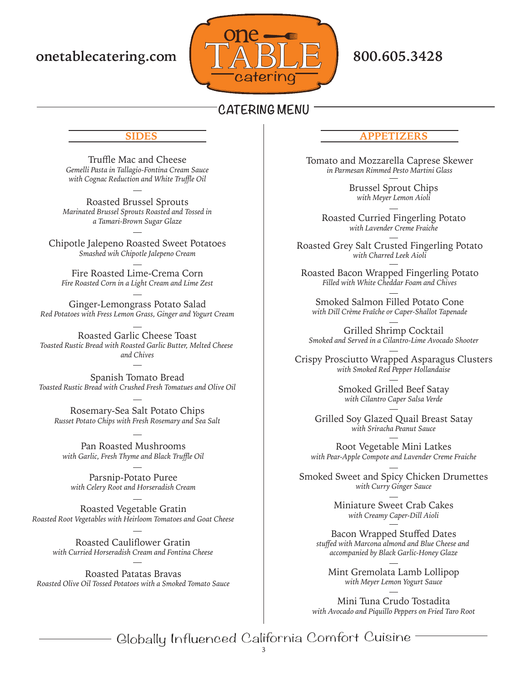

### **SIDES**

Truffle Mac and Cheese *Gemelli Pasta in Tallagio-Fontina Cream Sauce with Cognac Reduction and White Truffle Oil*

Roasted Brussel Sprouts *Marinated Brussel Sprouts Roasted and Tossed in a Tamari-Brown Sugar Glaze*

Chipotle Jalepeno Roasted Sweet Potatoes *Smashed wih Chipotle Jalepeno Cream*

Fire Roasted Lime-Crema Corn *Fire Roasted Corn in a Light Cream and Lime Zest*

Ginger-Lemongrass Potato Salad *Red Potatoes with Fress Lemon Grass, Ginger and Yogurt Cream*

Roasted Garlic Cheese Toast *Toasted Rustic Bread with Roasted Garlic Butter, Melted Cheese and Chives*

Spanish Tomato Bread *Toasted Rustic Bread with Crushed Fresh Tomatues and Olive Oil*

Rosemary-Sea Salt Potato Chips *Russet Potato Chips with Fresh Rosemary and Sea Salt*

Pan Roasted Mushrooms *with Garlic, Fresh Thyme and Black Truffle Oil*

Parsnip-Potato Puree *with Celery Root and Horseradish Cream*

Roasted Vegetable Gratin *Roasted Root Vegetables with Heirloom Tomatoes and Goat Cheese*

> Roasted Cauliflower Gratin *with Curried Horseradish Cream and Fontina Cheese*

Roasted Patatas Bravas *Roasted Olive Oil Tossed Potatoes with a Smoked Tomato Sauce*

## **APPETIZERS**

Tomato and Mozzarella Caprese Skewer *in Parmesan Rimmed Pesto Martini Glass*

> Brussel Sprout Chips *with Meyer Lemon Aioli*

Roasted Curried Fingerling Potato *with Lavender Creme Fraiche*

Roasted Grey Salt Crusted Fingerling Potato *with Charred Leek Aioli*

Roasted Bacon Wrapped Fingerling Potato *Filled with White Cheddar Foam and Chives*

Smoked Salmon Filled Potato Cone *with Dill Crème Fraîche or Caper-Shallot Tapenade*

Grilled Shrimp Cocktail *Smoked and Served in a Cilantro-Lime Avocado Shooter*

Crispy Prosciutto Wrapped Asparagus Clusters *with Smoked Red Pepper Hollandaise*

> Smoked Grilled Beef Satay *with Cilantro Caper Salsa Verde*

Grilled Soy Glazed Quail Breast Satay *with Sriracha Peanut Sauce*

Root Vegetable Mini Latkes *with Pear-Apple Compote and Lavender Creme Fraiche*

Smoked Sweet and Spicy Chicken Drumettes *with Curry Ginger Sauce*

> Miniature Sweet Crab Cakes *with Creamy Caper-Dill Aioli*

Bacon Wrapped Stuffed Dates *stuffed with Marcona almond and Blue Cheese and accompanied by Black Garlic-Honey Glaze*

Mint Gremolata Lamb Lollipop *with Meyer Lemon Yogurt Sauce*

Mini Tuna Crudo Tostadita *with Avocado and Piquillo Peppers on Fried Taro Root*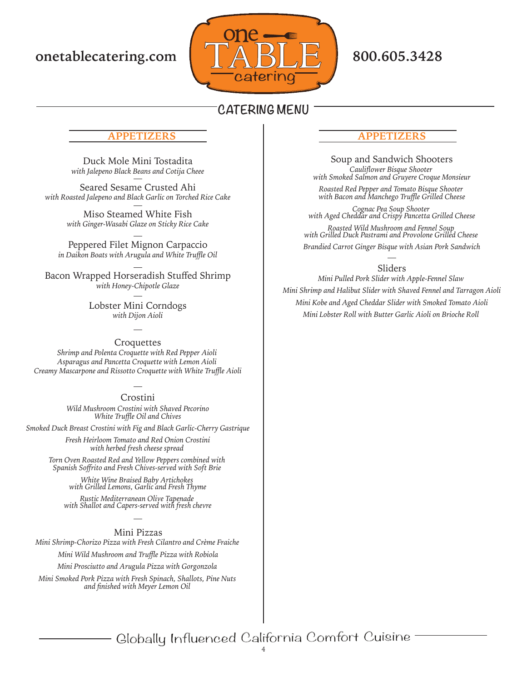

## **APPETIZERS**

Duck Mole Mini Tostadita *with Jalepeno Black Beans and Cotija Cheee*

Seared Sesame Crusted Ahi *with Roasted Jalepeno and Black Garlic on Torched Rice Cake*

> Miso Steamed White Fish *with Ginger-Wasabi Glaze on Sticky Rice Cake*

Peppered Filet Mignon Carpaccio *in Daikon Boats with Arugula and White Truffle Oil*

Bacon Wrapped Horseradish Stuffed Shrimp *with Honey-Chipotle Glaze*

> Lobster Mini Corndogs *with Dijon Aioli*

### **Croquettes**

*Shrimp and Polenta Croquette with Red Pepper Aioli Asparagus and Pancetta Croquette with Lemon Aioli Creamy Mascarpone and Rissotto Croquette with White Truffle Aioli*

### Crostini

*Wild Mushroom Crostini with Shaved Pecorino White Truffle Oil and Chives*

*Smoked Duck Breast Crostini with Fig and Black Garlic-Cherry Gastrique*

*Fresh Heirloom Tomato and Red Onion Crostini with herbed fresh cheese spread* 

*Torn Oven Roasted Red and Yellow Peppers combined with Spanish Soffrito and Fresh Chives-served with Soft Brie* 

*White Wine Braised Baby Artichokes with Grilled Lemons, Garlic and Fresh Thyme*

*Rustic Mediterranean Olive Tapenade with Shallot and Capers-served with fresh chevre*

### Mini Pizzas

*Mini Shrimp-Chorizo Pizza with Fresh Cilantro and Crème Fraiche* 

*Mini Wild Mushroom and Truffle Pizza with Robiola*

*Mini Prosciutto and Arugula Pizza with Gorgonzola* 

*Mini Smoked Pork Pizza with Fresh Spinach, Shallots, Pine Nuts and finished with Meyer Lemon Oil* 

# **APPETIZERS**

Soup and Sandwich Shooters *Cauliflower Bisque Shooter with Smoked Salmon and Gruyere Croque Monsieur*

*Roasted Red Pepper and Tomato Bisque Shooter with Bacon and Manchego Truffle Grilled Cheese*

*Cognac Pea Soup Shooter with Aged Cheddar and Crispy Pancetta Grilled Cheese*

*Roasted Wild Mushroom and Fennel Soup with Grilled Duck Pastrami and Provolone Grilled Cheese Brandied Carrot Ginger Bisque with Asian Pork Sandwich*

## Sliders

*Mini Pulled Pork Slider with Apple-Fennel Slaw Mini Shrimp and Halibut Slider with Shaved Fennel and Tarragon Aioli Mini Kobe and Aged Cheddar Slider with Smoked Tomato Aioli Mini Lobster Roll with Butter Garlic Aioli on Brioche Roll*